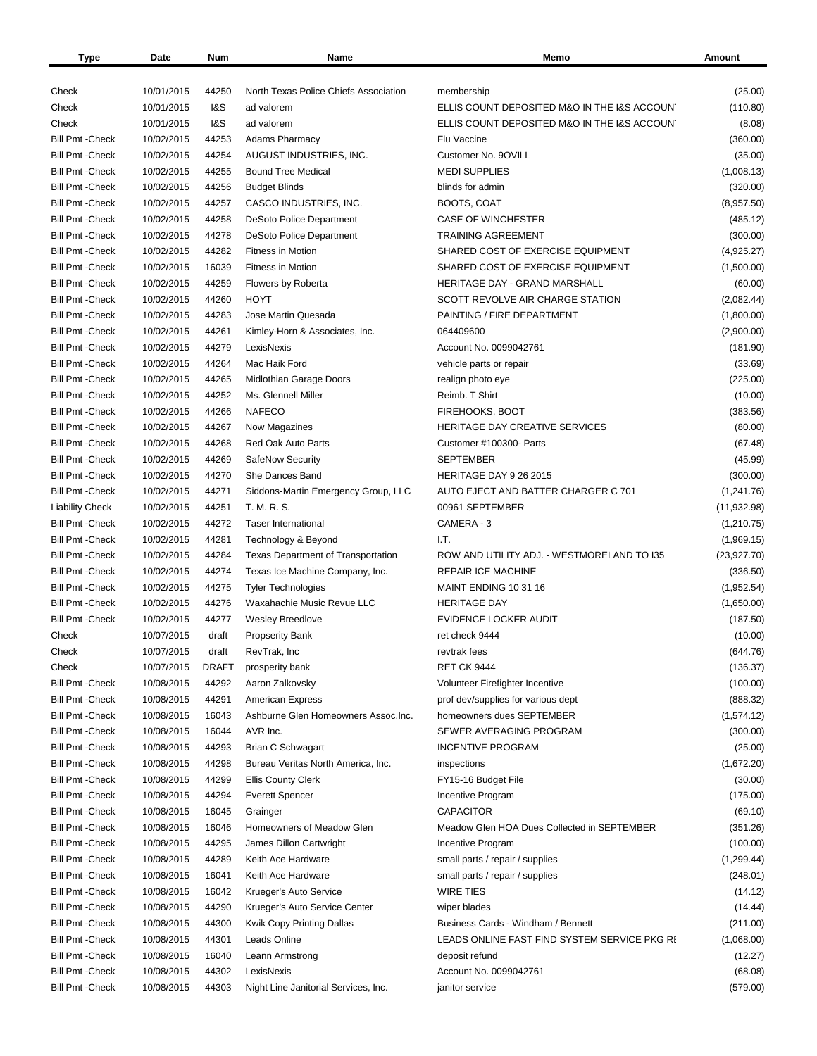| Type                    | Date       | Num            | Name                                      | Memo                                         | Amount       |
|-------------------------|------------|----------------|-------------------------------------------|----------------------------------------------|--------------|
|                         |            |                |                                           |                                              |              |
| Check                   | 10/01/2015 | 44250          | North Texas Police Chiefs Association     | membership                                   | (25.00)      |
| Check                   | 10/01/2015 | <b>1&amp;S</b> | ad valorem                                | ELLIS COUNT DEPOSITED M&O IN THE I&S ACCOUN' | (110.80)     |
| Check                   | 10/01/2015 | <b>1&amp;S</b> | ad valorem                                | ELLIS COUNT DEPOSITED M&O IN THE I&S ACCOUNT | (8.08)       |
| <b>Bill Pmt - Check</b> | 10/02/2015 | 44253          | <b>Adams Pharmacy</b>                     | Flu Vaccine                                  | (360.00)     |
| <b>Bill Pmt - Check</b> | 10/02/2015 | 44254          | AUGUST INDUSTRIES, INC.                   | Customer No. 9OVILL                          | (35.00)      |
| <b>Bill Pmt - Check</b> | 10/02/2015 | 44255          | <b>Bound Tree Medical</b>                 | <b>MEDI SUPPLIES</b>                         | (1,008.13)   |
| <b>Bill Pmt - Check</b> | 10/02/2015 | 44256          | <b>Budget Blinds</b>                      | blinds for admin                             | (320.00)     |
| <b>Bill Pmt - Check</b> | 10/02/2015 | 44257          | CASCO INDUSTRIES, INC.                    | BOOTS, COAT                                  | (8,957.50)   |
| <b>Bill Pmt - Check</b> | 10/02/2015 | 44258          | <b>DeSoto Police Department</b>           | <b>CASE OF WINCHESTER</b>                    | (485.12)     |
| <b>Bill Pmt - Check</b> | 10/02/2015 | 44278          | DeSoto Police Department                  | <b>TRAINING AGREEMENT</b>                    | (300.00)     |
| <b>Bill Pmt - Check</b> | 10/02/2015 | 44282          | <b>Fitness in Motion</b>                  | SHARED COST OF EXERCISE EQUIPMENT            | (4,925.27)   |
| <b>Bill Pmt - Check</b> | 10/02/2015 | 16039          | <b>Fitness in Motion</b>                  | SHARED COST OF EXERCISE EQUIPMENT            | (1,500.00)   |
| <b>Bill Pmt - Check</b> | 10/02/2015 | 44259          | Flowers by Roberta                        | HERITAGE DAY - GRAND MARSHALL                | (60.00)      |
| <b>Bill Pmt - Check</b> | 10/02/2015 | 44260          | <b>HOYT</b>                               | SCOTT REVOLVE AIR CHARGE STATION             | (2,082.44)   |
| <b>Bill Pmt - Check</b> | 10/02/2015 | 44283          | Jose Martin Quesada                       | PAINTING / FIRE DEPARTMENT                   | (1,800.00)   |
| <b>Bill Pmt - Check</b> | 10/02/2015 | 44261          | Kimley-Horn & Associates, Inc.            | 064409600                                    | (2,900.00)   |
| <b>Bill Pmt - Check</b> | 10/02/2015 | 44279          | LexisNexis                                | Account No. 0099042761                       | (181.90)     |
| <b>Bill Pmt - Check</b> | 10/02/2015 | 44264          | Mac Haik Ford                             | vehicle parts or repair                      | (33.69)      |
| <b>Bill Pmt - Check</b> | 10/02/2015 | 44265          | Midlothian Garage Doors                   | realign photo eye                            | (225.00)     |
| <b>Bill Pmt - Check</b> | 10/02/2015 | 44252          | Ms. Glennell Miller                       | Reimb. T Shirt                               | (10.00)      |
| <b>Bill Pmt - Check</b> | 10/02/2015 | 44266          | <b>NAFECO</b>                             | <b>FIREHOOKS, BOOT</b>                       | (383.56)     |
| <b>Bill Pmt - Check</b> | 10/02/2015 | 44267          |                                           | <b>HERITAGE DAY CREATIVE SERVICES</b>        |              |
|                         |            |                | Now Magazines                             |                                              | (80.00)      |
| <b>Bill Pmt - Check</b> | 10/02/2015 | 44268          | Red Oak Auto Parts                        | Customer #100300- Parts                      | (67.48)      |
| <b>Bill Pmt - Check</b> | 10/02/2015 | 44269          | SafeNow Security                          | <b>SEPTEMBER</b>                             | (45.99)      |
| <b>Bill Pmt - Check</b> | 10/02/2015 | 44270          | She Dances Band                           | HERITAGE DAY 9 26 2015                       | (300.00)     |
| <b>Bill Pmt - Check</b> | 10/02/2015 | 44271          | Siddons-Martin Emergency Group, LLC       | AUTO EJECT AND BATTER CHARGER C 701          | (1,241.76)   |
| <b>Liability Check</b>  | 10/02/2015 | 44251          | T. M. R. S.                               | 00961 SEPTEMBER                              | (11, 932.98) |
| <b>Bill Pmt - Check</b> | 10/02/2015 | 44272          | <b>Taser International</b>                | CAMERA - 3                                   | (1,210.75)   |
| <b>Bill Pmt - Check</b> | 10/02/2015 | 44281          | Technology & Beyond                       | I.T.                                         | (1,969.15)   |
| <b>Bill Pmt - Check</b> | 10/02/2015 | 44284          | <b>Texas Department of Transportation</b> | ROW AND UTILITY ADJ. - WESTMORELAND TO I35   | (23, 927.70) |
| <b>Bill Pmt - Check</b> | 10/02/2015 | 44274          | Texas Ice Machine Company, Inc.           | <b>REPAIR ICE MACHINE</b>                    | (336.50)     |
| <b>Bill Pmt - Check</b> | 10/02/2015 | 44275          | <b>Tyler Technologies</b>                 | MAINT ENDING 10 31 16                        | (1,952.54)   |
| <b>Bill Pmt - Check</b> | 10/02/2015 | 44276          | Waxahachie Music Revue LLC                | <b>HERITAGE DAY</b>                          | (1,650.00)   |
| <b>Bill Pmt - Check</b> | 10/02/2015 | 44277          | <b>Wesley Breedlove</b>                   | EVIDENCE LOCKER AUDIT                        | (187.50)     |
| Check                   | 10/07/2015 | draft          | <b>Propserity Bank</b>                    | ret check 9444                               | (10.00)      |
| Check                   | 10/07/2015 | draft          | RevTrak, Inc                              | revtrak fees                                 | (644.76)     |
| Check                   | 10/07/2015 | <b>DRAFT</b>   | prosperity bank                           | <b>RET CK 9444</b>                           | (136.37)     |
| <b>Bill Pmt - Check</b> | 10/08/2015 | 44292          | Aaron Zalkovsky                           | Volunteer Firefighter Incentive              | (100.00)     |
| <b>Bill Pmt - Check</b> | 10/08/2015 | 44291          | <b>American Express</b>                   | prof dev/supplies for various dept           | (888.32)     |
| <b>Bill Pmt - Check</b> | 10/08/2015 | 16043          | Ashburne Glen Homeowners Assoc.Inc.       | homeowners dues SEPTEMBER                    | (1,574.12)   |
| <b>Bill Pmt - Check</b> | 10/08/2015 | 16044          | AVR Inc.                                  | SEWER AVERAGING PROGRAM                      | (300.00)     |
| <b>Bill Pmt - Check</b> | 10/08/2015 | 44293          | <b>Brian C Schwagart</b>                  | <b>INCENTIVE PROGRAM</b>                     | (25.00)      |
| <b>Bill Pmt - Check</b> | 10/08/2015 | 44298          | Bureau Veritas North America, Inc.        | inspections                                  | (1,672.20)   |
| <b>Bill Pmt - Check</b> | 10/08/2015 | 44299          | <b>Ellis County Clerk</b>                 | FY15-16 Budget File                          | (30.00)      |
| <b>Bill Pmt - Check</b> | 10/08/2015 | 44294          | <b>Everett Spencer</b>                    | Incentive Program                            | (175.00)     |
| <b>Bill Pmt - Check</b> | 10/08/2015 | 16045          | Grainger                                  | <b>CAPACITOR</b>                             | (69.10)      |
| <b>Bill Pmt - Check</b> | 10/08/2015 | 16046          | Homeowners of Meadow Glen                 | Meadow Glen HOA Dues Collected in SEPTEMBER  | (351.26)     |
| <b>Bill Pmt - Check</b> | 10/08/2015 | 44295          | James Dillon Cartwright                   | Incentive Program                            | (100.00)     |
| <b>Bill Pmt - Check</b> | 10/08/2015 | 44289          | Keith Ace Hardware                        | small parts / repair / supplies              | (1, 299.44)  |
| <b>Bill Pmt - Check</b> | 10/08/2015 | 16041          | Keith Ace Hardware                        | small parts / repair / supplies              | (248.01)     |
| <b>Bill Pmt - Check</b> | 10/08/2015 | 16042          | Krueger's Auto Service                    | WIRE TIES                                    | (14.12)      |
| <b>Bill Pmt - Check</b> | 10/08/2015 | 44290          | Krueger's Auto Service Center             | wiper blades                                 | (14.44)      |
| <b>Bill Pmt - Check</b> | 10/08/2015 | 44300          | Kwik Copy Printing Dallas                 | Business Cards - Windham / Bennett           | (211.00)     |
| <b>Bill Pmt - Check</b> | 10/08/2015 | 44301          | Leads Online                              | LEADS ONLINE FAST FIND SYSTEM SERVICE PKG RI | (1,068.00)   |
| <b>Bill Pmt - Check</b> | 10/08/2015 | 16040          | Leann Armstrong                           | deposit refund                               | (12.27)      |
| <b>Bill Pmt - Check</b> | 10/08/2015 | 44302          | LexisNexis                                | Account No. 0099042761                       | (68.08)      |
| <b>Bill Pmt - Check</b> | 10/08/2015 | 44303          | Night Line Janitorial Services, Inc.      | janitor service                              | (579.00)     |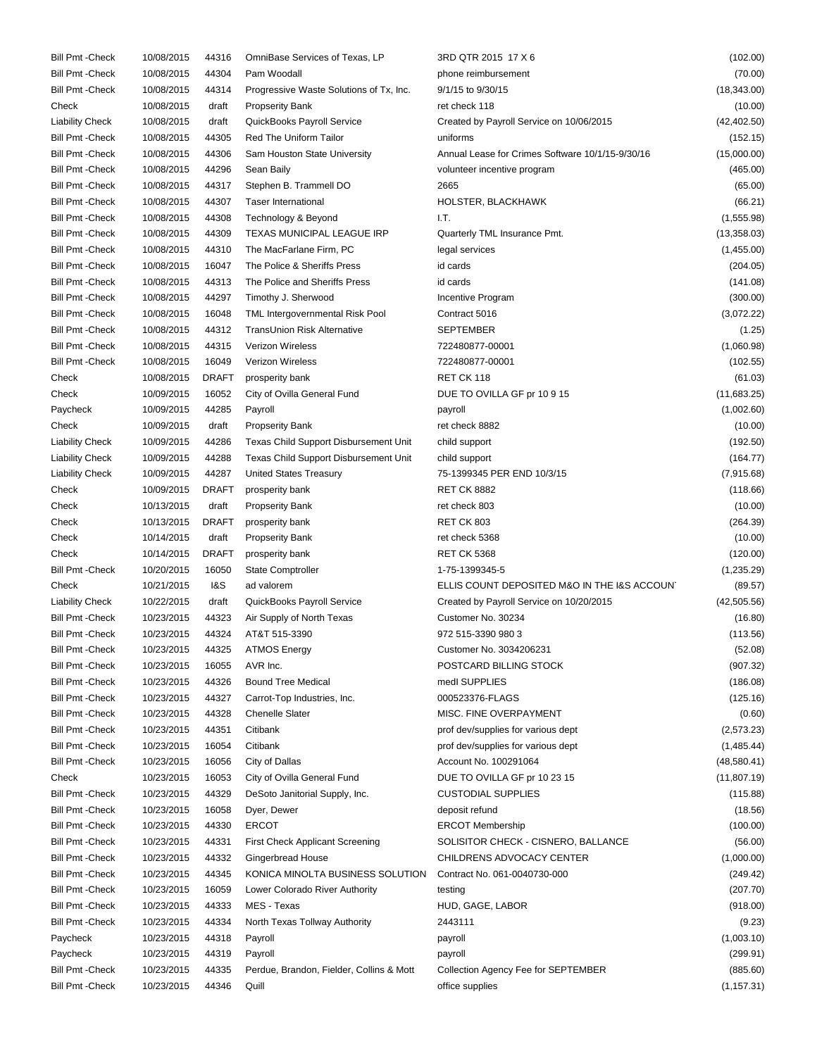| Bill Pmt - Check        | 10/08/2015 | 44316          | OmniBase Services of Texas, LP           | 3RD QTR 2015 17 X 6                              | (102.00)     |
|-------------------------|------------|----------------|------------------------------------------|--------------------------------------------------|--------------|
| <b>Bill Pmt - Check</b> | 10/08/2015 | 44304          | Pam Woodall                              | phone reimbursement                              | (70.00)      |
| <b>Bill Pmt - Check</b> | 10/08/2015 | 44314          | Progressive Waste Solutions of Tx, Inc.  | 9/1/15 to 9/30/15                                | (18, 343.00) |
| Check                   | 10/08/2015 | draft          | <b>Propserity Bank</b>                   | ret check 118                                    | (10.00)      |
| <b>Liability Check</b>  | 10/08/2015 | draft          | QuickBooks Payroll Service               | Created by Payroll Service on 10/06/2015         | (42, 402.50) |
| <b>Bill Pmt - Check</b> | 10/08/2015 | 44305          | <b>Red The Uniform Tailor</b>            | uniforms                                         | (152.15)     |
| <b>Bill Pmt - Check</b> | 10/08/2015 | 44306          | Sam Houston State University             | Annual Lease for Crimes Software 10/1/15-9/30/16 | (15,000.00)  |
| <b>Bill Pmt - Check</b> | 10/08/2015 | 44296          | Sean Baily                               | volunteer incentive program                      | (465.00)     |
| <b>Bill Pmt - Check</b> | 10/08/2015 | 44317          | Stephen B. Trammell DO                   | 2665                                             | (65.00)      |
| <b>Bill Pmt - Check</b> | 10/08/2015 | 44307          | <b>Taser International</b>               | HOLSTER, BLACKHAWK                               | (66.21)      |
| <b>Bill Pmt - Check</b> | 10/08/2015 | 44308          | Technology & Beyond                      | IT.                                              | (1,555.98)   |
| <b>Bill Pmt - Check</b> | 10/08/2015 | 44309          | TEXAS MUNICIPAL LEAGUE IRP               | Quarterly TML Insurance Pmt.                     | (13,358.03)  |
| <b>Bill Pmt - Check</b> |            |                |                                          |                                                  |              |
|                         | 10/08/2015 | 44310          | The MacFarlane Firm, PC                  | legal services                                   | (1,455.00)   |
| <b>Bill Pmt - Check</b> | 10/08/2015 | 16047          | The Police & Sheriffs Press              | id cards                                         | (204.05)     |
| <b>Bill Pmt - Check</b> | 10/08/2015 | 44313          | The Police and Sheriffs Press            | id cards                                         | (141.08)     |
| <b>Bill Pmt - Check</b> | 10/08/2015 | 44297          | Timothy J. Sherwood                      | Incentive Program                                | (300.00)     |
| <b>Bill Pmt - Check</b> | 10/08/2015 | 16048          | TML Intergovernmental Risk Pool          | Contract 5016                                    | (3,072.22)   |
| <b>Bill Pmt - Check</b> | 10/08/2015 | 44312          | TransUnion Risk Alternative              | <b>SEPTEMBER</b>                                 | (1.25)       |
| <b>Bill Pmt - Check</b> | 10/08/2015 | 44315          | <b>Verizon Wireless</b>                  | 722480877-00001                                  | (1,060.98)   |
| <b>Bill Pmt - Check</b> | 10/08/2015 | 16049          | Verizon Wireless                         | 722480877-00001                                  | (102.55)     |
| Check                   | 10/08/2015 | <b>DRAFT</b>   | prosperity bank                          | RET CK 118                                       | (61.03)      |
| Check                   | 10/09/2015 | 16052          | City of Ovilla General Fund              | DUE TO OVILLA GF pr 10 9 15                      | (11,683.25)  |
| Paycheck                | 10/09/2015 | 44285          | Payroll                                  | payroll                                          | (1,002.60)   |
| Check                   | 10/09/2015 | draft          | <b>Propserity Bank</b>                   | ret check 8882                                   | (10.00)      |
| <b>Liability Check</b>  | 10/09/2015 | 44286          | Texas Child Support Disbursement Unit    | child support                                    | (192.50)     |
| <b>Liability Check</b>  | 10/09/2015 | 44288          | Texas Child Support Disbursement Unit    | child support                                    | (164.77)     |
| <b>Liability Check</b>  | 10/09/2015 | 44287          | United States Treasury                   | 75-1399345 PER END 10/3/15                       | (7,915.68)   |
| Check                   | 10/09/2015 | <b>DRAFT</b>   | prosperity bank                          | <b>RET CK 8882</b>                               | (118.66)     |
| Check                   | 10/13/2015 | draft          | <b>Propserity Bank</b>                   | ret check 803                                    | (10.00)      |
| Check                   | 10/13/2015 | <b>DRAFT</b>   | prosperity bank                          | <b>RET CK 803</b>                                | (264.39)     |
| Check                   | 10/14/2015 | draft          | <b>Propserity Bank</b>                   | ret check 5368                                   | (10.00)      |
| Check                   | 10/14/2015 | <b>DRAFT</b>   | prosperity bank                          | <b>RET CK 5368</b>                               | (120.00)     |
| <b>Bill Pmt - Check</b> | 10/20/2015 | 16050          | <b>State Comptroller</b>                 | 1-75-1399345-5                                   | (1,235.29)   |
| Check                   | 10/21/2015 | <b>1&amp;S</b> | ad valorem                               | ELLIS COUNT DEPOSITED M&O IN THE I&S ACCOUNT     | (89.57)      |
|                         |            |                | QuickBooks Payroll Service               |                                                  | (42, 505.56) |
| <b>Liability Check</b>  | 10/22/2015 | draft          |                                          | Created by Payroll Service on 10/20/2015         |              |
| <b>Bill Pmt-Check</b>   | 10/23/2015 | 44323          | Air Supply of North Texas                | Customer No. 30234                               | (16.80)      |
| <b>Bill Pmt - Check</b> | 10/23/2015 | 44324          | AT&T 515-3390                            | 972 515-3390 980 3                               | (113.56)     |
| Bill Pmt - Check        | 10/23/2015 | 44325          | <b>ATMOS Energy</b>                      | Customer No. 3034206231                          | (52.08)      |
| <b>Bill Pmt - Check</b> | 10/23/2015 | 16055          | AVR Inc.                                 | POSTCARD BILLING STOCK                           | (907.32)     |
| <b>Bill Pmt - Check</b> | 10/23/2015 | 44326          | <b>Bound Tree Medical</b>                | medl SUPPLIES                                    | (186.08)     |
| <b>Bill Pmt - Check</b> | 10/23/2015 | 44327          | Carrot-Top Industries, Inc.              | 000523376-FLAGS                                  | (125.16)     |
| <b>Bill Pmt - Check</b> | 10/23/2015 | 44328          | <b>Chenelle Slater</b>                   | MISC. FINE OVERPAYMENT                           | (0.60)       |
| <b>Bill Pmt - Check</b> | 10/23/2015 | 44351          | Citibank                                 | prof dev/supplies for various dept               | (2,573.23)   |
| <b>Bill Pmt - Check</b> | 10/23/2015 | 16054          | Citibank                                 | prof dev/supplies for various dept               | (1,485.44)   |
| <b>Bill Pmt - Check</b> | 10/23/2015 | 16056          | City of Dallas                           | Account No. 100291064                            | (48,580.41)  |
| Check                   | 10/23/2015 | 16053          | City of Ovilla General Fund              | DUE TO OVILLA GF pr 10 23 15                     | (11, 807.19) |
| <b>Bill Pmt - Check</b> | 10/23/2015 | 44329          | DeSoto Janitorial Supply, Inc.           | <b>CUSTODIAL SUPPLIES</b>                        | (115.88)     |
| <b>Bill Pmt - Check</b> | 10/23/2015 | 16058          | Dyer, Dewer                              | deposit refund                                   | (18.56)      |
| <b>Bill Pmt - Check</b> | 10/23/2015 | 44330          | <b>ERCOT</b>                             | <b>ERCOT Membership</b>                          | (100.00)     |
| <b>Bill Pmt - Check</b> | 10/23/2015 | 44331          | <b>First Check Applicant Screening</b>   | SOLISITOR CHECK - CISNERO, BALLANCE              | (56.00)      |
| <b>Bill Pmt - Check</b> | 10/23/2015 | 44332          | Gingerbread House                        | CHILDRENS ADVOCACY CENTER                        | (1,000.00)   |
| <b>Bill Pmt - Check</b> | 10/23/2015 | 44345          | KONICA MINOLTA BUSINESS SOLUTION         | Contract No. 061-0040730-000                     | (249.42)     |
| <b>Bill Pmt - Check</b> | 10/23/2015 | 16059          | Lower Colorado River Authority           | testing                                          | (207.70)     |
| <b>Bill Pmt - Check</b> | 10/23/2015 | 44333          | MES - Texas                              | HUD, GAGE, LABOR                                 | (918.00)     |
| <b>Bill Pmt - Check</b> | 10/23/2015 | 44334          | North Texas Tollway Authority            | 2443111                                          | (9.23)       |
|                         | 10/23/2015 | 44318          |                                          |                                                  | (1,003.10)   |
| Paycheck                |            |                | Payroll                                  | payroll                                          |              |
| Paycheck                | 10/23/2015 | 44319          | Payroll                                  | payroll                                          | (299.91)     |
| <b>Bill Pmt - Check</b> | 10/23/2015 | 44335          | Perdue, Brandon, Fielder, Collins & Mott | Collection Agency Fee for SEPTEMBER              | (885.60)     |
| Bill Pmt - Check        | 10/23/2015 | 44346          | Quill                                    | office supplies                                  | (1, 157.31)  |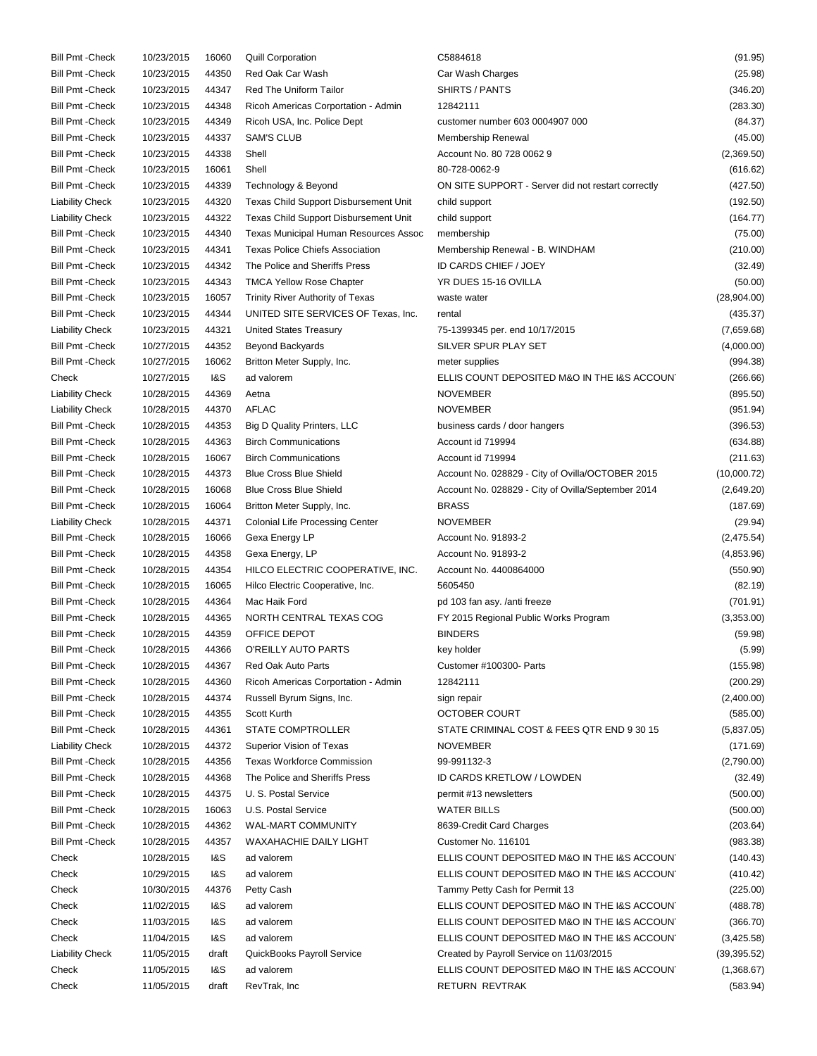| <b>Bill Pmt - Check</b> | 10/23/2015 | 16060          | <b>Quill Corporation</b>                     | C5884618                                           | (91.95)      |
|-------------------------|------------|----------------|----------------------------------------------|----------------------------------------------------|--------------|
| <b>Bill Pmt - Check</b> | 10/23/2015 | 44350          | Red Oak Car Wash                             | Car Wash Charges                                   | (25.98)      |
| <b>Bill Pmt - Check</b> | 10/23/2015 | 44347          | <b>Red The Uniform Tailor</b>                | SHIRTS / PANTS                                     | (346.20)     |
| <b>Bill Pmt - Check</b> | 10/23/2015 | 44348          | Ricoh Americas Corportation - Admin          | 12842111                                           | (283.30)     |
| <b>Bill Pmt - Check</b> | 10/23/2015 | 44349          | Ricoh USA, Inc. Police Dept                  | customer number 603 0004907 000                    | (84.37)      |
| <b>Bill Pmt - Check</b> | 10/23/2015 | 44337          | <b>SAM'S CLUB</b>                            | Membership Renewal                                 | (45.00)      |
| <b>Bill Pmt - Check</b> | 10/23/2015 | 44338          | Shell                                        | Account No. 80 728 0062 9                          | (2,369.50)   |
| <b>Bill Pmt - Check</b> | 10/23/2015 | 16061          | Shell                                        | 80-728-0062-9                                      | (616.62)     |
| <b>Bill Pmt - Check</b> | 10/23/2015 | 44339          | Technology & Beyond                          | ON SITE SUPPORT - Server did not restart correctly | (427.50)     |
| <b>Liability Check</b>  | 10/23/2015 | 44320          | Texas Child Support Disbursement Unit        | child support                                      | (192.50)     |
| <b>Liability Check</b>  | 10/23/2015 | 44322          | Texas Child Support Disbursement Unit        | child support                                      | (164.77)     |
| <b>Bill Pmt - Check</b> | 10/23/2015 | 44340          | <b>Texas Municipal Human Resources Assoc</b> | membership                                         | (75.00)      |
| <b>Bill Pmt - Check</b> | 10/23/2015 | 44341          | <b>Texas Police Chiefs Association</b>       | Membership Renewal - B. WINDHAM                    | (210.00)     |
| <b>Bill Pmt - Check</b> | 10/23/2015 | 44342          | The Police and Sheriffs Press                | ID CARDS CHIEF / JOEY                              | (32.49)      |
| <b>Bill Pmt - Check</b> | 10/23/2015 | 44343          | <b>TMCA Yellow Rose Chapter</b>              | YR DUES 15-16 OVILLA                               | (50.00)      |
| <b>Bill Pmt - Check</b> | 10/23/2015 | 16057          | Trinity River Authority of Texas             | waste water                                        | (28,904.00)  |
| <b>Bill Pmt - Check</b> | 10/23/2015 | 44344          |                                              | rental                                             |              |
|                         |            |                | UNITED SITE SERVICES OF Texas, Inc.          |                                                    | (435.37)     |
| <b>Liability Check</b>  | 10/23/2015 | 44321          | <b>United States Treasury</b>                | 75-1399345 per. end 10/17/2015                     | (7,659.68)   |
| <b>Bill Pmt - Check</b> | 10/27/2015 | 44352          | Beyond Backyards                             | SILVER SPUR PLAY SET                               | (4,000.00)   |
| <b>Bill Pmt - Check</b> | 10/27/2015 | 16062          | Britton Meter Supply, Inc.                   | meter supplies                                     | (994.38)     |
| Check                   | 10/27/2015 | <b>1&amp;S</b> | ad valorem                                   | ELLIS COUNT DEPOSITED M&O IN THE I&S ACCOUNT       | (266.66)     |
| <b>Liability Check</b>  | 10/28/2015 | 44369          | Aetna                                        | <b>NOVEMBER</b>                                    | (895.50)     |
| <b>Liability Check</b>  | 10/28/2015 | 44370          | <b>AFLAC</b>                                 | <b>NOVEMBER</b>                                    | (951.94)     |
| <b>Bill Pmt - Check</b> | 10/28/2015 | 44353          | Big D Quality Printers, LLC                  | business cards / door hangers                      | (396.53)     |
| <b>Bill Pmt - Check</b> | 10/28/2015 | 44363          | <b>Birch Communications</b>                  | Account id 719994                                  | (634.88)     |
| <b>Bill Pmt - Check</b> | 10/28/2015 | 16067          | <b>Birch Communications</b>                  | Account id 719994                                  | (211.63)     |
| <b>Bill Pmt - Check</b> | 10/28/2015 | 44373          | <b>Blue Cross Blue Shield</b>                | Account No. 028829 - City of Ovilla/OCTOBER 2015   | (10,000.72)  |
| <b>Bill Pmt - Check</b> | 10/28/2015 | 16068          | <b>Blue Cross Blue Shield</b>                | Account No. 028829 - City of Ovilla/September 2014 | (2,649.20)   |
| <b>Bill Pmt - Check</b> | 10/28/2015 | 16064          | Britton Meter Supply, Inc.                   | <b>BRASS</b>                                       | (187.69)     |
| <b>Liability Check</b>  | 10/28/2015 | 44371          | <b>Colonial Life Processing Center</b>       | <b>NOVEMBER</b>                                    | (29.94)      |
| <b>Bill Pmt - Check</b> | 10/28/2015 | 16066          | Gexa Energy LP                               | Account No. 91893-2                                | (2,475.54)   |
| <b>Bill Pmt - Check</b> | 10/28/2015 | 44358          | Gexa Energy, LP                              | Account No. 91893-2                                | (4,853.96)   |
| <b>Bill Pmt - Check</b> | 10/28/2015 | 44354          | HILCO ELECTRIC COOPERATIVE, INC.             | Account No. 4400864000                             | (550.90)     |
| <b>Bill Pmt - Check</b> | 10/28/2015 | 16065          | Hilco Electric Cooperative, Inc.             | 5605450                                            | (82.19)      |
| <b>Bill Pmt - Check</b> | 10/28/2015 | 44364          | Mac Haik Ford                                | pd 103 fan asy. /anti freeze                       | (701.91)     |
| <b>Bill Pmt - Check</b> | 10/28/2015 | 44365          | NORTH CENTRAL TEXAS COG                      | FY 2015 Regional Public Works Program              | (3,353.00)   |
| <b>Bill Pmt - Check</b> | 10/28/2015 | 44359          | OFFICE DEPOT                                 | <b>BINDERS</b>                                     | (59.98)      |
| <b>Bill Pmt - Check</b> | 10/28/2015 | 44366          | O'REILLY AUTO PARTS                          | key holder                                         | (5.99)       |
| <b>Bill Pmt - Check</b> | 10/28/2015 | 44367          | Red Oak Auto Parts                           | Customer #100300- Parts                            | (155.98)     |
| <b>Bill Pmt - Check</b> | 10/28/2015 | 44360          | Ricoh Americas Corportation - Admin          | 12842111                                           | (200.29)     |
| <b>Bill Pmt - Check</b> | 10/28/2015 | 44374          | Russell Byrum Signs, Inc.                    | sign repair                                        | (2,400.00)   |
| <b>Bill Pmt - Check</b> | 10/28/2015 | 44355          | Scott Kurth                                  | <b>OCTOBER COURT</b>                               | (585.00)     |
| <b>Bill Pmt - Check</b> | 10/28/2015 | 44361          | STATE COMPTROLLER                            | STATE CRIMINAL COST & FEES QTR END 9 30 15         | (5,837.05)   |
| <b>Liability Check</b>  | 10/28/2015 | 44372          | Superior Vision of Texas                     | <b>NOVEMBER</b>                                    | (171.69)     |
| <b>Bill Pmt - Check</b> | 10/28/2015 | 44356          | <b>Texas Workforce Commission</b>            | 99-991132-3                                        | (2,790.00)   |
| <b>Bill Pmt - Check</b> | 10/28/2015 | 44368          | The Police and Sheriffs Press                | ID CARDS KRETLOW / LOWDEN                          | (32.49)      |
| <b>Bill Pmt - Check</b> | 10/28/2015 | 44375          | U. S. Postal Service                         | permit #13 newsletters                             | (500.00)     |
| <b>Bill Pmt - Check</b> | 10/28/2015 | 16063          | U.S. Postal Service                          | <b>WATER BILLS</b>                                 | (500.00)     |
| <b>Bill Pmt - Check</b> | 10/28/2015 | 44362          | WAL-MART COMMUNITY                           | 8639-Credit Card Charges                           | (203.64)     |
| <b>Bill Pmt - Check</b> | 10/28/2015 | 44357          | WAXAHACHIE DAILY LIGHT                       | Customer No. 116101                                | (983.38)     |
| Check                   | 10/28/2015 | 1&S            | ad valorem                                   | ELLIS COUNT DEPOSITED M&O IN THE I&S ACCOUNT       | (140.43)     |
| Check                   | 10/29/2015 | 1&S            | ad valorem                                   | ELLIS COUNT DEPOSITED M&O IN THE I&S ACCOUNT       | (410.42)     |
| Check                   | 10/30/2015 | 44376          | Petty Cash                                   | Tammy Petty Cash for Permit 13                     | (225.00)     |
| Check                   | 11/02/2015 | 1&S            | ad valorem                                   | ELLIS COUNT DEPOSITED M&O IN THE I&S ACCOUNT       | (488.78)     |
| Check                   | 11/03/2015 | 1&S            | ad valorem                                   | ELLIS COUNT DEPOSITED M&O IN THE I&S ACCOUNT       | (366.70)     |
| Check                   | 11/04/2015 | 1&S            | ad valorem                                   | ELLIS COUNT DEPOSITED M&O IN THE I&S ACCOUNT       | (3,425.58)   |
| <b>Liability Check</b>  | 11/05/2015 | draft          | QuickBooks Payroll Service                   | Created by Payroll Service on 11/03/2015           | (39, 395.52) |
| Check                   | 11/05/2015 | 1&S            | ad valorem                                   | ELLIS COUNT DEPOSITED M&O IN THE I&S ACCOUNT       | (1,368.67)   |
| Check                   | 11/05/2015 | draft          | RevTrak, Inc                                 | RETURN REVTRAK                                     | (583.94)     |
|                         |            |                |                                              |                                                    |              |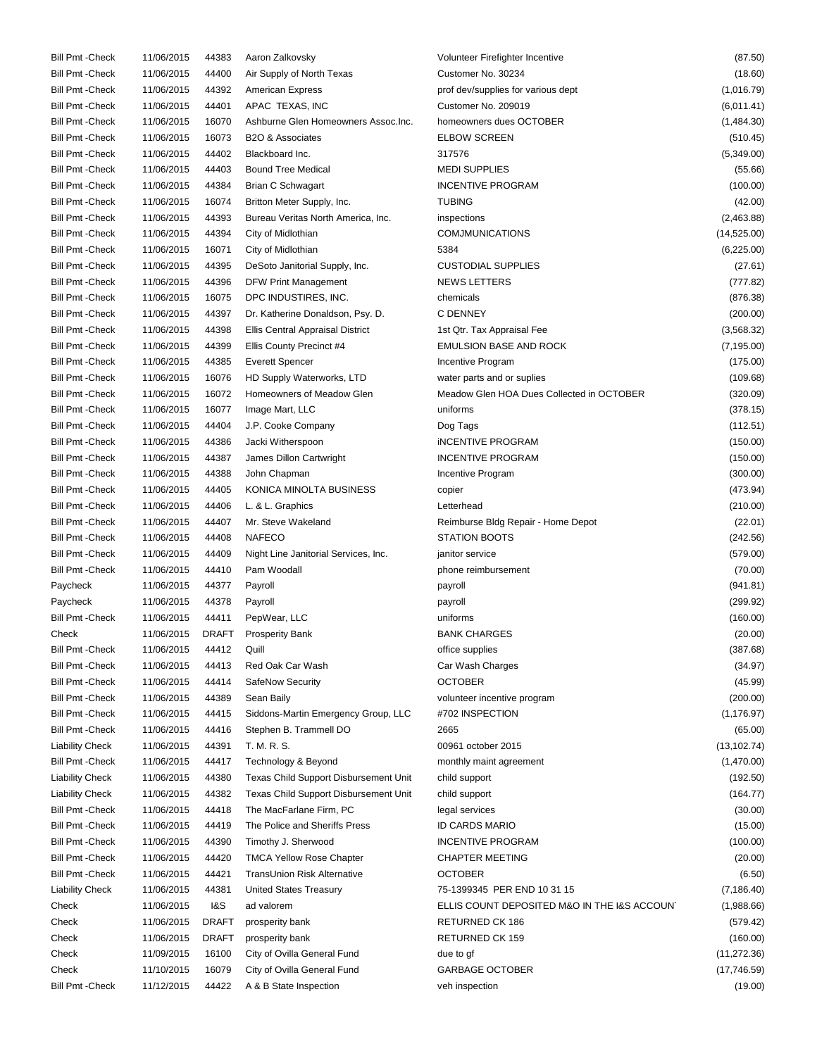| <b>Bill Pmt - Check</b> | 11/06/2015 | 44383        | Aaron Zalkovsky                         | Volunteer Firefighter Incentive              | (87.50)      |
|-------------------------|------------|--------------|-----------------------------------------|----------------------------------------------|--------------|
| <b>Bill Pmt - Check</b> | 11/06/2015 | 44400        | Air Supply of North Texas               | Customer No. 30234                           | (18.60)      |
| <b>Bill Pmt - Check</b> | 11/06/2015 | 44392        | <b>American Express</b>                 | prof dev/supplies for various dept           | (1,016.79)   |
| <b>Bill Pmt - Check</b> | 11/06/2015 | 44401        | APAC TEXAS, INC                         | Customer No. 209019                          | (6,011.41)   |
| <b>Bill Pmt - Check</b> | 11/06/2015 | 16070        | Ashburne Glen Homeowners Assoc. Inc.    | homeowners dues OCTOBER                      | (1,484.30)   |
| <b>Bill Pmt - Check</b> | 11/06/2015 | 16073        | <b>B2O &amp; Associates</b>             | <b>ELBOW SCREEN</b>                          | (510.45)     |
| <b>Bill Pmt - Check</b> | 11/06/2015 | 44402        | Blackboard Inc.                         | 317576                                       | (5,349.00)   |
| <b>Bill Pmt - Check</b> | 11/06/2015 | 44403        | <b>Bound Tree Medical</b>               | <b>MEDI SUPPLIES</b>                         | (55.66)      |
| <b>Bill Pmt - Check</b> | 11/06/2015 | 44384        | <b>Brian C Schwagart</b>                | <b>INCENTIVE PROGRAM</b>                     | (100.00)     |
| <b>Bill Pmt - Check</b> | 11/06/2015 | 16074        | Britton Meter Supply, Inc.              | <b>TUBING</b>                                | (42.00)      |
| <b>Bill Pmt - Check</b> | 11/06/2015 | 44393        | Bureau Veritas North America, Inc.      | inspections                                  | (2,463.88)   |
| <b>Bill Pmt - Check</b> | 11/06/2015 | 44394        | City of Midlothian                      | <b>COMJMUNICATIONS</b>                       | (14,525.00)  |
| <b>Bill Pmt - Check</b> | 11/06/2015 | 16071        | City of Midlothian                      | 5384                                         | (6,225.00)   |
| <b>Bill Pmt - Check</b> | 11/06/2015 | 44395        | DeSoto Janitorial Supply, Inc.          | <b>CUSTODIAL SUPPLIES</b>                    | (27.61)      |
| <b>Bill Pmt - Check</b> | 11/06/2015 | 44396        | <b>DFW Print Management</b>             | <b>NEWS LETTERS</b>                          | (777.82)     |
| <b>Bill Pmt - Check</b> | 11/06/2015 | 16075        | DPC INDUSTIRES, INC.                    | chemicals                                    | (876.38)     |
| <b>Bill Pmt - Check</b> | 11/06/2015 | 44397        |                                         | <b>C DENNEY</b>                              |              |
|                         |            |              | Dr. Katherine Donaldson, Psy. D.        |                                              | (200.00)     |
| <b>Bill Pmt - Check</b> | 11/06/2015 | 44398        | <b>Ellis Central Appraisal District</b> | 1st Qtr. Tax Appraisal Fee                   | (3,568.32)   |
| <b>Bill Pmt - Check</b> | 11/06/2015 | 44399        | Ellis County Precinct #4                | <b>EMULSION BASE AND ROCK</b>                | (7, 195.00)  |
| <b>Bill Pmt - Check</b> | 11/06/2015 | 44385        | <b>Everett Spencer</b>                  | Incentive Program                            | (175.00)     |
| <b>Bill Pmt - Check</b> | 11/06/2015 | 16076        | HD Supply Waterworks, LTD               | water parts and or suplies                   | (109.68)     |
| <b>Bill Pmt - Check</b> | 11/06/2015 | 16072        | Homeowners of Meadow Glen               | Meadow Glen HOA Dues Collected in OCTOBER    | (320.09)     |
| <b>Bill Pmt - Check</b> | 11/06/2015 | 16077        | Image Mart, LLC                         | uniforms                                     | (378.15)     |
| <b>Bill Pmt - Check</b> | 11/06/2015 | 44404        | J.P. Cooke Company                      | Dog Tags                                     | (112.51)     |
| <b>Bill Pmt - Check</b> | 11/06/2015 | 44386        | Jacki Witherspoon                       | <b>INCENTIVE PROGRAM</b>                     | (150.00)     |
| <b>Bill Pmt - Check</b> | 11/06/2015 | 44387        | James Dillon Cartwright                 | <b>INCENTIVE PROGRAM</b>                     | (150.00)     |
| <b>Bill Pmt - Check</b> | 11/06/2015 | 44388        | John Chapman                            | Incentive Program                            | (300.00)     |
| <b>Bill Pmt - Check</b> | 11/06/2015 | 44405        | KONICA MINOLTA BUSINESS                 | copier                                       | (473.94)     |
| <b>Bill Pmt - Check</b> | 11/06/2015 | 44406        | L. & L. Graphics                        | Letterhead                                   | (210.00)     |
| <b>Bill Pmt - Check</b> | 11/06/2015 | 44407        | Mr. Steve Wakeland                      | Reimburse Bldg Repair - Home Depot           | (22.01)      |
| <b>Bill Pmt - Check</b> | 11/06/2015 | 44408        | <b>NAFECO</b>                           | <b>STATION BOOTS</b>                         | (242.56)     |
| <b>Bill Pmt - Check</b> | 11/06/2015 | 44409        | Night Line Janitorial Services, Inc.    | janitor service                              | (579.00)     |
| <b>Bill Pmt - Check</b> | 11/06/2015 | 44410        | Pam Woodall                             | phone reimbursement                          | (70.00)      |
| Paycheck                | 11/06/2015 | 44377        | Payroll                                 | payroll                                      | (941.81)     |
| Paycheck                | 11/06/2015 | 44378        | Payroll                                 | payroll                                      | (299.92)     |
| <b>Bill Pmt - Check</b> | 11/06/2015 | 44411        | PepWear, LLC                            | uniforms                                     | (160.00)     |
| Check                   | 11/06/2015 | DRAFT        | <b>Prosperity Bank</b>                  | <b>BANK CHARGES</b>                          | (20.00)      |
| <b>Bill Pmt - Check</b> | 11/06/2015 | 44412        | Quill                                   | office supplies                              | (387.68)     |
| <b>Bill Pmt - Check</b> | 11/06/2015 | 44413        | Red Oak Car Wash                        | Car Wash Charges                             | (34.97)      |
| <b>Bill Pmt - Check</b> | 11/06/2015 | 44414        | SafeNow Security                        | <b>OCTOBER</b>                               | (45.99)      |
| <b>Bill Pmt - Check</b> | 11/06/2015 | 44389        | Sean Baily                              | volunteer incentive program                  | (200.00)     |
| <b>Bill Pmt - Check</b> | 11/06/2015 | 44415        | Siddons-Martin Emergency Group, LLC     | #702 INSPECTION                              | (1, 176.97)  |
| <b>Bill Pmt - Check</b> | 11/06/2015 | 44416        | Stephen B. Trammell DO                  | 2665                                         | (65.00)      |
| <b>Liability Check</b>  | 11/06/2015 | 44391        | T. M. R. S.                             | 00961 october 2015                           | (13, 102.74) |
|                         |            |              |                                         |                                              |              |
| <b>Bill Pmt - Check</b> | 11/06/2015 | 44417        | Technology & Beyond                     | monthly maint agreement                      | (1,470.00)   |
| <b>Liability Check</b>  | 11/06/2015 | 44380        | Texas Child Support Disbursement Unit   | child support                                | (192.50)     |
| <b>Liability Check</b>  | 11/06/2015 | 44382        | Texas Child Support Disbursement Unit   | child support                                | (164.77)     |
| <b>Bill Pmt - Check</b> | 11/06/2015 | 44418        | The MacFarlane Firm, PC                 | legal services                               | (30.00)      |
| <b>Bill Pmt - Check</b> | 11/06/2015 | 44419        | The Police and Sheriffs Press           | <b>ID CARDS MARIO</b>                        | (15.00)      |
| <b>Bill Pmt - Check</b> | 11/06/2015 | 44390        | Timothy J. Sherwood                     | <b>INCENTIVE PROGRAM</b>                     | (100.00)     |
| <b>Bill Pmt - Check</b> | 11/06/2015 | 44420        | <b>TMCA Yellow Rose Chapter</b>         | <b>CHAPTER MEETING</b>                       | (20.00)      |
| <b>Bill Pmt - Check</b> | 11/06/2015 | 44421        | TransUnion Risk Alternative             | <b>OCTOBER</b>                               | (6.50)       |
| <b>Liability Check</b>  | 11/06/2015 | 44381        | United States Treasury                  | 75-1399345 PER END 10 31 15                  | (7, 186.40)  |
| Check                   | 11/06/2015 | 1&S          | ad valorem                              | ELLIS COUNT DEPOSITED M&O IN THE I&S ACCOUNT | (1,988.66)   |
| Check                   | 11/06/2015 | <b>DRAFT</b> | prosperity bank                         | RETURNED CK 186                              | (579.42)     |
| Check                   | 11/06/2015 | <b>DRAFT</b> | prosperity bank                         | RETURNED CK 159                              | (160.00)     |
| Check                   | 11/09/2015 | 16100        | City of Ovilla General Fund             | due to gf                                    | (11, 272.36) |
| Check                   | 11/10/2015 | 16079        | City of Ovilla General Fund             | <b>GARBAGE OCTOBER</b>                       | (17,746.59)  |
| <b>Bill Pmt - Check</b> | 11/12/2015 | 44422        | A & B State Inspection                  | veh inspection                               | (19.00)      |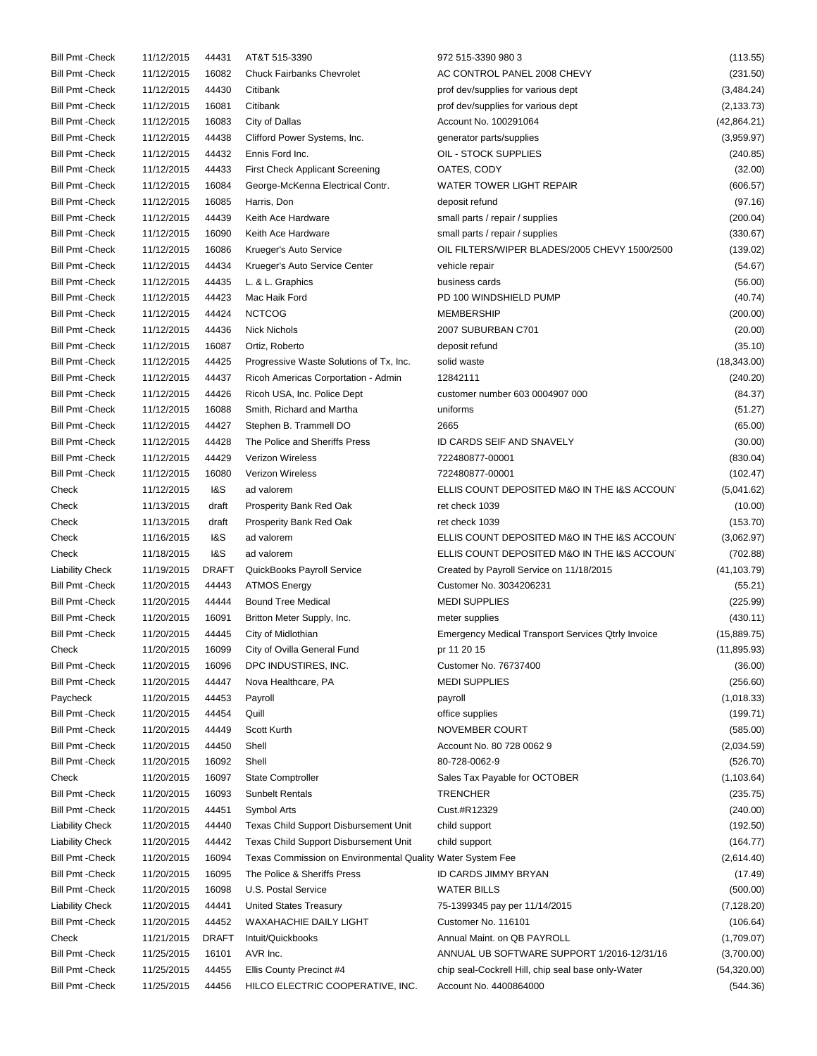| <b>Bill Pmt - Check</b> | 11/12/2015 | 44431        | AT&T 515-3390                                              | 972 515-3390 980 3                                        | (113.55)     |
|-------------------------|------------|--------------|------------------------------------------------------------|-----------------------------------------------------------|--------------|
| <b>Bill Pmt - Check</b> | 11/12/2015 | 16082        | <b>Chuck Fairbanks Chevrolet</b>                           | AC CONTROL PANEL 2008 CHEVY                               | (231.50)     |
| <b>Bill Pmt - Check</b> | 11/12/2015 | 44430        | Citibank                                                   | prof dev/supplies for various dept                        | (3,484.24)   |
| <b>Bill Pmt - Check</b> | 11/12/2015 | 16081        | Citibank                                                   | prof dev/supplies for various dept                        | (2, 133.73)  |
| <b>Bill Pmt - Check</b> | 11/12/2015 | 16083        | City of Dallas                                             | Account No. 100291064                                     | (42,864.21)  |
| <b>Bill Pmt - Check</b> | 11/12/2015 | 44438        | Clifford Power Systems, Inc.                               | generator parts/supplies                                  | (3,959.97)   |
| <b>Bill Pmt - Check</b> | 11/12/2015 | 44432        | Ennis Ford Inc.                                            | OIL - STOCK SUPPLIES                                      | (240.85)     |
| <b>Bill Pmt - Check</b> | 11/12/2015 | 44433        | <b>First Check Applicant Screening</b>                     | OATES, CODY                                               | (32.00)      |
| <b>Bill Pmt - Check</b> | 11/12/2015 | 16084        | George-McKenna Electrical Contr.                           | WATER TOWER LIGHT REPAIR                                  | (606.57)     |
| <b>Bill Pmt - Check</b> | 11/12/2015 | 16085        | Harris, Don                                                | deposit refund                                            | (97.16)      |
| <b>Bill Pmt - Check</b> | 11/12/2015 | 44439        | Keith Ace Hardware                                         | small parts / repair / supplies                           | (200.04)     |
|                         |            |              | Keith Ace Hardware                                         |                                                           |              |
| <b>Bill Pmt - Check</b> | 11/12/2015 | 16090        |                                                            | small parts / repair / supplies                           | (330.67)     |
| <b>Bill Pmt - Check</b> | 11/12/2015 | 16086        | Krueger's Auto Service                                     | OIL FILTERS/WIPER BLADES/2005 CHEVY 1500/2500             | (139.02)     |
| <b>Bill Pmt - Check</b> | 11/12/2015 | 44434        | Krueger's Auto Service Center                              | vehicle repair                                            | (54.67)      |
| <b>Bill Pmt - Check</b> | 11/12/2015 | 44435        | L. & L. Graphics                                           | business cards                                            | (56.00)      |
| <b>Bill Pmt - Check</b> | 11/12/2015 | 44423        | Mac Haik Ford                                              | PD 100 WINDSHIELD PUMP                                    | (40.74)      |
| <b>Bill Pmt - Check</b> | 11/12/2015 | 44424        | <b>NCTCOG</b>                                              | <b>MEMBERSHIP</b>                                         | (200.00)     |
| <b>Bill Pmt - Check</b> | 11/12/2015 | 44436        | <b>Nick Nichols</b>                                        | 2007 SUBURBAN C701                                        | (20.00)      |
| <b>Bill Pmt - Check</b> | 11/12/2015 | 16087        | Ortiz, Roberto                                             | deposit refund                                            | (35.10)      |
| <b>Bill Pmt - Check</b> | 11/12/2015 | 44425        | Progressive Waste Solutions of Tx, Inc.                    | solid waste                                               | (18, 343.00) |
| <b>Bill Pmt - Check</b> | 11/12/2015 | 44437        | Ricoh Americas Corportation - Admin                        | 12842111                                                  | (240.20)     |
| <b>Bill Pmt - Check</b> | 11/12/2015 | 44426        | Ricoh USA, Inc. Police Dept                                | customer number 603 0004907 000                           | (84.37)      |
| <b>Bill Pmt - Check</b> | 11/12/2015 | 16088        | Smith, Richard and Martha                                  | uniforms                                                  | (51.27)      |
| <b>Bill Pmt - Check</b> | 11/12/2015 | 44427        | Stephen B. Trammell DO                                     | 2665                                                      | (65.00)      |
| <b>Bill Pmt - Check</b> | 11/12/2015 | 44428        | The Police and Sheriffs Press                              | ID CARDS SEIF AND SNAVELY                                 | (30.00)      |
| <b>Bill Pmt - Check</b> | 11/12/2015 | 44429        | <b>Verizon Wireless</b>                                    | 722480877-00001                                           | (830.04)     |
| <b>Bill Pmt - Check</b> | 11/12/2015 | 16080        | <b>Verizon Wireless</b>                                    | 722480877-00001                                           | (102.47)     |
| Check                   | 11/12/2015 | 1&S          | ad valorem                                                 | ELLIS COUNT DEPOSITED M&O IN THE I&S ACCOUNT              | (5,041.62)   |
| Check                   | 11/13/2015 | draft        | Prosperity Bank Red Oak                                    | ret check 1039                                            | (10.00)      |
| Check                   | 11/13/2015 | draft        | Prosperity Bank Red Oak                                    | ret check 1039                                            | (153.70)     |
| Check                   | 11/16/2015 | 1&S          | ad valorem                                                 | ELLIS COUNT DEPOSITED M&O IN THE I&S ACCOUNT              | (3,062.97)   |
|                         |            |              |                                                            |                                                           |              |
| Check                   | 11/18/2015 | 1&S          | ad valorem                                                 | ELLIS COUNT DEPOSITED M&O IN THE I&S ACCOUNT              | (702.88)     |
| <b>Liability Check</b>  | 11/19/2015 | <b>DRAFT</b> | QuickBooks Payroll Service                                 | Created by Payroll Service on 11/18/2015                  | (41, 103.79) |
| <b>Bill Pmt - Check</b> | 11/20/2015 | 44443        | <b>ATMOS Energy</b>                                        | Customer No. 3034206231                                   | (55.21)      |
| <b>Bill Pmt - Check</b> | 11/20/2015 | 44444        | <b>Bound Tree Medical</b>                                  | <b>MEDI SUPPLIES</b>                                      | (225.99)     |
| <b>Bill Pmt - Check</b> | 11/20/2015 | 16091        | Britton Meter Supply, Inc.                                 | meter supplies                                            | (430.11)     |
| <b>Bill Pmt - Check</b> | 11/20/2015 | 44445        | City of Midlothian                                         | <b>Emergency Medical Transport Services Qtrly Invoice</b> | (15,889.75)  |
| Check                   | 11/20/2015 | 16099        | City of Ovilla General Fund                                | pr 11 20 15                                               | (11, 895.93) |
| <b>Bill Pmt - Check</b> | 11/20/2015 | 16096        | DPC INDUSTIRES, INC.                                       | Customer No. 76737400                                     | (36.00)      |
| <b>Bill Pmt - Check</b> | 11/20/2015 | 44447        | Nova Healthcare, PA                                        | <b>MEDI SUPPLIES</b>                                      | (256.60)     |
| Paycheck                | 11/20/2015 | 44453        | Payroll                                                    | payroll                                                   | (1,018.33)   |
| <b>Bill Pmt - Check</b> | 11/20/2015 | 44454        | Quill                                                      | office supplies                                           | (199.71)     |
| <b>Bill Pmt - Check</b> | 11/20/2015 | 44449        | Scott Kurth                                                | NOVEMBER COURT                                            | (585.00)     |
| <b>Bill Pmt - Check</b> | 11/20/2015 | 44450        | Shell                                                      | Account No. 80 728 0062 9                                 | (2,034.59)   |
| <b>Bill Pmt - Check</b> | 11/20/2015 | 16092        | Shell                                                      | 80-728-0062-9                                             | (526.70)     |
| Check                   | 11/20/2015 | 16097        | <b>State Comptroller</b>                                   | Sales Tax Payable for OCTOBER                             | (1, 103.64)  |
| <b>Bill Pmt - Check</b> | 11/20/2015 | 16093        | <b>Sunbelt Rentals</b>                                     | <b>TRENCHER</b>                                           | (235.75)     |
| <b>Bill Pmt - Check</b> | 11/20/2015 | 44451        | Symbol Arts                                                | Cust.#R12329                                              | (240.00)     |
| <b>Liability Check</b>  | 11/20/2015 | 44440        | Texas Child Support Disbursement Unit                      | child support                                             | (192.50)     |
| <b>Liability Check</b>  | 11/20/2015 | 44442        | Texas Child Support Disbursement Unit                      | child support                                             | (164.77)     |
| <b>Bill Pmt - Check</b> | 11/20/2015 | 16094        | Texas Commission on Environmental Quality Water System Fee |                                                           | (2,614.40)   |
|                         |            |              | The Police & Sheriffs Press                                |                                                           |              |
| <b>Bill Pmt - Check</b> | 11/20/2015 | 16095        |                                                            | ID CARDS JIMMY BRYAN                                      | (17.49)      |
| Bill Pmt - Check        | 11/20/2015 | 16098        | U.S. Postal Service                                        | <b>WATER BILLS</b>                                        | (500.00)     |
| <b>Liability Check</b>  | 11/20/2015 | 44441        | <b>United States Treasury</b>                              | 75-1399345 pay per 11/14/2015                             | (7, 128.20)  |
| <b>Bill Pmt - Check</b> | 11/20/2015 | 44452        | WAXAHACHIE DAILY LIGHT                                     | Customer No. 116101                                       | (106.64)     |
| Check                   | 11/21/2015 | <b>DRAFT</b> | Intuit/Quickbooks                                          | Annual Maint. on QB PAYROLL                               | (1,709.07)   |
| <b>Bill Pmt - Check</b> | 11/25/2015 | 16101        | AVR Inc.                                                   | ANNUAL UB SOFTWARE SUPPORT 1/2016-12/31/16                | (3,700.00)   |
| <b>Bill Pmt - Check</b> | 11/25/2015 | 44455        | Ellis County Precinct #4                                   | chip seal-Cockrell Hill, chip seal base only-Water        | (54, 320.00) |
| <b>Bill Pmt - Check</b> | 11/25/2015 | 44456        | HILCO ELECTRIC COOPERATIVE, INC.                           | Account No. 4400864000                                    | (544.36)     |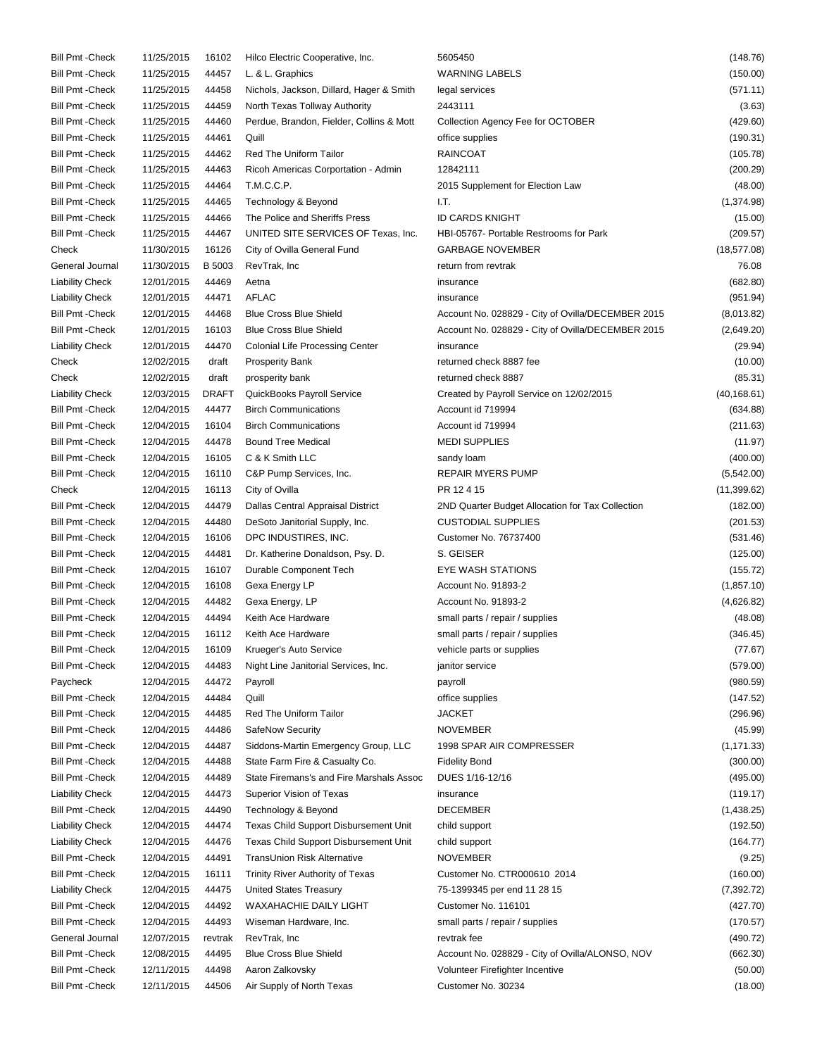| <b>Bill Pmt - Check</b> | 11/25/2015 | 16102         | Hilco Electric Cooperative, Inc.         | 5605450                                           | (148.76)     |
|-------------------------|------------|---------------|------------------------------------------|---------------------------------------------------|--------------|
| <b>Bill Pmt - Check</b> | 11/25/2015 | 44457         | L. & L. Graphics                         | <b>WARNING LABELS</b>                             | (150.00)     |
| <b>Bill Pmt - Check</b> | 11/25/2015 | 44458         | Nichols, Jackson, Dillard, Hager & Smith | legal services                                    | (571.11)     |
| <b>Bill Pmt - Check</b> | 11/25/2015 | 44459         | North Texas Tollway Authority            | 2443111                                           | (3.63)       |
| <b>Bill Pmt - Check</b> | 11/25/2015 | 44460         | Perdue, Brandon, Fielder, Collins & Mott | Collection Agency Fee for OCTOBER                 | (429.60)     |
| <b>Bill Pmt - Check</b> | 11/25/2015 | 44461         | Quill                                    | office supplies                                   | (190.31)     |
| <b>Bill Pmt - Check</b> | 11/25/2015 | 44462         | Red The Uniform Tailor                   | <b>RAINCOAT</b>                                   | (105.78)     |
| <b>Bill Pmt - Check</b> | 11/25/2015 | 44463         | Ricoh Americas Corportation - Admin      | 12842111                                          | (200.29)     |
| <b>Bill Pmt - Check</b> | 11/25/2015 | 44464         | T.M.C.C.P.                               | 2015 Supplement for Election Law                  | (48.00)      |
| <b>Bill Pmt - Check</b> | 11/25/2015 | 44465         | Technology & Beyond                      | I.T.                                              | (1,374.98)   |
| <b>Bill Pmt - Check</b> | 11/25/2015 | 44466         | The Police and Sheriffs Press            | <b>ID CARDS KNIGHT</b>                            | (15.00)      |
| <b>Bill Pmt - Check</b> | 11/25/2015 | 44467         | UNITED SITE SERVICES OF Texas, Inc.      | HBI-05767- Portable Restrooms for Park            | (209.57)     |
|                         |            |               |                                          | <b>GARBAGE NOVEMBER</b>                           |              |
| Check                   | 11/30/2015 | 16126         | City of Ovilla General Fund              |                                                   | (18, 577.08) |
| General Journal         | 11/30/2015 | <b>B</b> 5003 | RevTrak, Inc                             | return from revtrak                               | 76.08        |
| <b>Liability Check</b>  | 12/01/2015 | 44469         | Aetna                                    | insurance                                         | (682.80)     |
| <b>Liability Check</b>  | 12/01/2015 | 44471         | AFLAC                                    | insurance                                         | (951.94)     |
| <b>Bill Pmt - Check</b> | 12/01/2015 | 44468         | <b>Blue Cross Blue Shield</b>            | Account No. 028829 - City of Ovilla/DECEMBER 2015 | (8,013.82)   |
| <b>Bill Pmt - Check</b> | 12/01/2015 | 16103         | <b>Blue Cross Blue Shield</b>            | Account No. 028829 - City of Ovilla/DECEMBER 2015 | (2,649.20)   |
| <b>Liability Check</b>  | 12/01/2015 | 44470         | <b>Colonial Life Processing Center</b>   | insurance                                         | (29.94)      |
| Check                   | 12/02/2015 | draft         | <b>Prosperity Bank</b>                   | returned check 8887 fee                           | (10.00)      |
| Check                   | 12/02/2015 | draft         | prosperity bank                          | returned check 8887                               | (85.31)      |
| <b>Liability Check</b>  | 12/03/2015 | <b>DRAFT</b>  | QuickBooks Payroll Service               | Created by Payroll Service on 12/02/2015          | (40, 168.61) |
| <b>Bill Pmt - Check</b> | 12/04/2015 | 44477         | <b>Birch Communications</b>              | Account id 719994                                 | (634.88)     |
| <b>Bill Pmt - Check</b> | 12/04/2015 | 16104         | <b>Birch Communications</b>              | Account id 719994                                 | (211.63)     |
| <b>Bill Pmt - Check</b> | 12/04/2015 | 44478         | <b>Bound Tree Medical</b>                | <b>MEDI SUPPLIES</b>                              | (11.97)      |
| <b>Bill Pmt - Check</b> | 12/04/2015 | 16105         | C & K Smith LLC                          | sandy loam                                        | (400.00)     |
| <b>Bill Pmt - Check</b> | 12/04/2015 | 16110         | C&P Pump Services, Inc.                  | <b>REPAIR MYERS PUMP</b>                          | (5,542.00)   |
| Check                   | 12/04/2015 | 16113         | City of Ovilla                           | PR 12415                                          | (11, 399.62) |
| <b>Bill Pmt - Check</b> | 12/04/2015 | 44479         | Dallas Central Appraisal District        | 2ND Quarter Budget Allocation for Tax Collection  | (182.00)     |
| <b>Bill Pmt - Check</b> | 12/04/2015 | 44480         | DeSoto Janitorial Supply, Inc.           | <b>CUSTODIAL SUPPLIES</b>                         | (201.53)     |
| <b>Bill Pmt - Check</b> | 12/04/2015 | 16106         | DPC INDUSTIRES, INC.                     | Customer No. 76737400                             | (531.46)     |
| <b>Bill Pmt - Check</b> | 12/04/2015 | 44481         | Dr. Katherine Donaldson, Psy. D.         | S. GEISER                                         | (125.00)     |
| <b>Bill Pmt - Check</b> | 12/04/2015 | 16107         | Durable Component Tech                   | EYE WASH STATIONS                                 | (155.72)     |
| <b>Bill Pmt - Check</b> | 12/04/2015 | 16108         | Gexa Energy LP                           | Account No. 91893-2                               | (1, 857.10)  |
| <b>Bill Pmt - Check</b> | 12/04/2015 | 44482         | Gexa Energy, LP                          | Account No. 91893-2                               | (4,626.82)   |
| <b>Bill Pmt - Check</b> | 12/04/2015 | 44494         | Keith Ace Hardware                       | small parts / repair / supplies                   | (48.08)      |
| <b>Bill Pmt - Check</b> | 12/04/2015 | 16112         | Keith Ace Hardware                       | small parts / repair / supplies                   | (346.45)     |
| Bill Pmt - Check        | 12/04/2015 | 16109         | Krueger's Auto Service                   | vehicle parts or supplies                         | (77.67)      |
| <b>Bill Pmt - Check</b> | 12/04/2015 | 44483         | Night Line Janitorial Services, Inc.     | janitor service                                   | (579.00)     |
| Paycheck                | 12/04/2015 | 44472         | Payroll                                  | payroll                                           | (980.59)     |
| <b>Bill Pmt - Check</b> | 12/04/2015 | 44484         | Quill                                    | office supplies                                   | (147.52)     |
| <b>Bill Pmt - Check</b> | 12/04/2015 | 44485         | Red The Uniform Tailor                   | <b>JACKET</b>                                     |              |
|                         |            |               |                                          |                                                   | (296.96)     |
| <b>Bill Pmt - Check</b> | 12/04/2015 | 44486         | SafeNow Security                         | <b>NOVEMBER</b>                                   | (45.99)      |
| <b>Bill Pmt - Check</b> | 12/04/2015 | 44487         | Siddons-Martin Emergency Group, LLC      | 1998 SPAR AIR COMPRESSER                          | (1, 171.33)  |
| <b>Bill Pmt - Check</b> | 12/04/2015 | 44488         | State Farm Fire & Casualty Co.           | <b>Fidelity Bond</b>                              | (300.00)     |
| <b>Bill Pmt - Check</b> | 12/04/2015 | 44489         | State Firemans's and Fire Marshals Assoc | DUES 1/16-12/16                                   | (495.00)     |
| <b>Liability Check</b>  | 12/04/2015 | 44473         | Superior Vision of Texas                 | insurance                                         | (119.17)     |
| <b>Bill Pmt - Check</b> | 12/04/2015 | 44490         | Technology & Beyond                      | <b>DECEMBER</b>                                   | (1,438.25)   |
| <b>Liability Check</b>  | 12/04/2015 | 44474         | Texas Child Support Disbursement Unit    | child support                                     | (192.50)     |
| <b>Liability Check</b>  | 12/04/2015 | 44476         | Texas Child Support Disbursement Unit    | child support                                     | (164.77)     |
| <b>Bill Pmt - Check</b> | 12/04/2015 | 44491         | TransUnion Risk Alternative              | <b>NOVEMBER</b>                                   | (9.25)       |
| <b>Bill Pmt - Check</b> | 12/04/2015 | 16111         | <b>Trinity River Authority of Texas</b>  | Customer No. CTR000610 2014                       | (160.00)     |
| <b>Liability Check</b>  | 12/04/2015 | 44475         | <b>United States Treasury</b>            | 75-1399345 per end 11 28 15                       | (7, 392.72)  |
| <b>Bill Pmt - Check</b> | 12/04/2015 | 44492         | WAXAHACHIE DAILY LIGHT                   | Customer No. 116101                               | (427.70)     |
| <b>Bill Pmt - Check</b> | 12/04/2015 | 44493         | Wiseman Hardware, Inc.                   | small parts / repair / supplies                   | (170.57)     |
| General Journal         | 12/07/2015 | revtrak       | RevTrak, Inc                             | revtrak fee                                       | (490.72)     |
| <b>Bill Pmt - Check</b> | 12/08/2015 | 44495         | <b>Blue Cross Blue Shield</b>            | Account No. 028829 - City of Ovilla/ALONSO, NOV   | (662.30)     |
| <b>Bill Pmt - Check</b> | 12/11/2015 | 44498         | Aaron Zalkovsky                          | Volunteer Firefighter Incentive                   | (50.00)      |
| <b>Bill Pmt - Check</b> | 12/11/2015 | 44506         | Air Supply of North Texas                | Customer No. 30234                                | (18.00)      |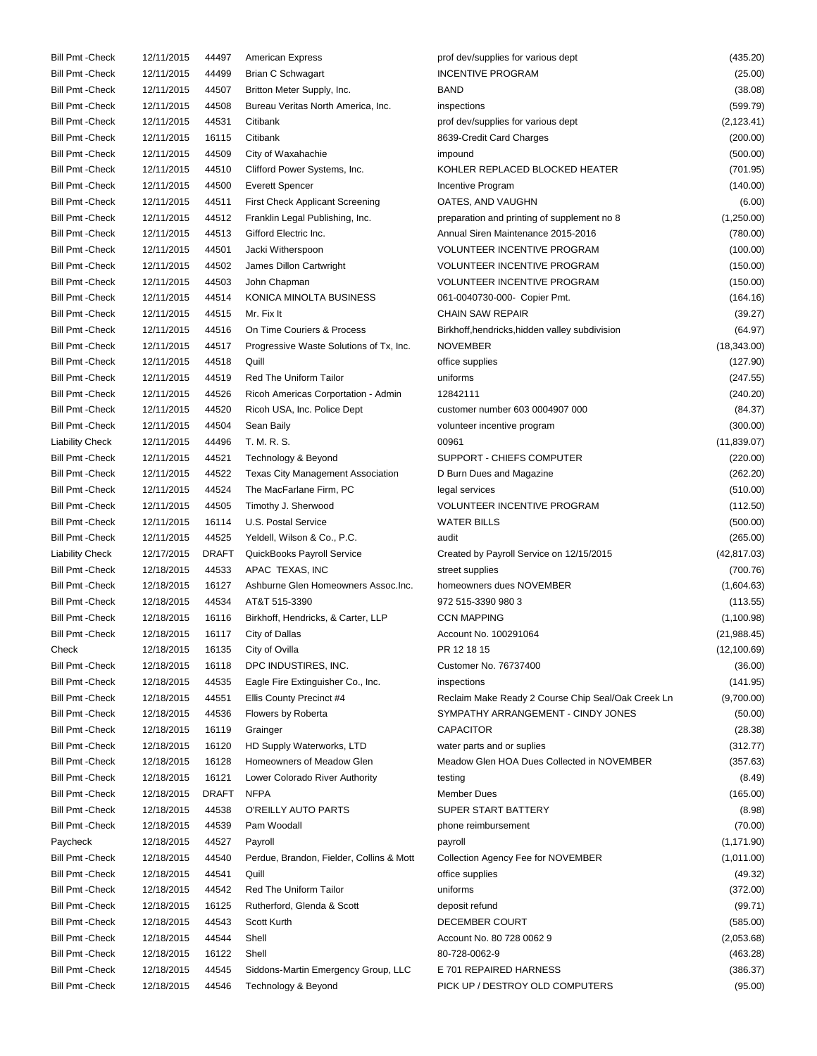| <b>Bill Pmt - Check</b> | 12/11/2015 | 44497        | <b>American Express</b>                  | prof dev/supplies for various dept                      | (435.20)     |
|-------------------------|------------|--------------|------------------------------------------|---------------------------------------------------------|--------------|
| <b>Bill Pmt - Check</b> | 12/11/2015 | 44499        | <b>Brian C Schwagart</b>                 | <b>INCENTIVE PROGRAM</b>                                | (25.00)      |
| <b>Bill Pmt - Check</b> | 12/11/2015 | 44507        | Britton Meter Supply, Inc.               | <b>BAND</b>                                             | (38.08)      |
| <b>Bill Pmt - Check</b> | 12/11/2015 | 44508        | Bureau Veritas North America, Inc.       | inspections                                             | (599.79)     |
| <b>Bill Pmt - Check</b> | 12/11/2015 | 44531        | Citibank                                 | prof dev/supplies for various dept                      | (2, 123.41)  |
| <b>Bill Pmt - Check</b> | 12/11/2015 | 16115        | Citibank                                 | 8639-Credit Card Charges                                | (200.00)     |
| <b>Bill Pmt - Check</b> | 12/11/2015 | 44509        | City of Waxahachie                       | impound                                                 | (500.00)     |
| <b>Bill Pmt - Check</b> | 12/11/2015 | 44510        | Clifford Power Systems, Inc.             | KOHLER REPLACED BLOCKED HEATER                          | (701.95)     |
| <b>Bill Pmt - Check</b> | 12/11/2015 | 44500        | <b>Everett Spencer</b>                   | Incentive Program                                       | (140.00)     |
| <b>Bill Pmt - Check</b> | 12/11/2015 | 44511        | <b>First Check Applicant Screening</b>   | OATES, AND VAUGHN                                       | (6.00)       |
| <b>Bill Pmt - Check</b> | 12/11/2015 | 44512        | Franklin Legal Publishing, Inc.          | preparation and printing of supplement no 8             | (1,250.00)   |
| <b>Bill Pmt - Check</b> | 12/11/2015 | 44513        | Gifford Electric Inc.                    | Annual Siren Maintenance 2015-2016                      | (780.00)     |
| <b>Bill Pmt - Check</b> | 12/11/2015 | 44501        | Jacki Witherspoon                        | <b>VOLUNTEER INCENTIVE PROGRAM</b>                      | (100.00)     |
| <b>Bill Pmt - Check</b> | 12/11/2015 | 44502        | James Dillon Cartwright                  | <b>VOLUNTEER INCENTIVE PROGRAM</b>                      | (150.00)     |
| <b>Bill Pmt - Check</b> | 12/11/2015 | 44503        | John Chapman                             | <b>VOLUNTEER INCENTIVE PROGRAM</b>                      | (150.00)     |
| <b>Bill Pmt - Check</b> | 12/11/2015 | 44514        | KONICA MINOLTA BUSINESS                  |                                                         |              |
| <b>Bill Pmt - Check</b> | 12/11/2015 | 44515        | Mr. Fix It                               | 061-0040730-000- Copier Pmt.<br><b>CHAIN SAW REPAIR</b> | (164.16)     |
|                         |            |              |                                          |                                                         | (39.27)      |
| <b>Bill Pmt - Check</b> | 12/11/2015 | 44516        | On Time Couriers & Process               | Birkhoff, hendricks, hidden valley subdivision          | (64.97)      |
| <b>Bill Pmt - Check</b> | 12/11/2015 | 44517        | Progressive Waste Solutions of Tx, Inc.  | <b>NOVEMBER</b>                                         | (18, 343.00) |
| <b>Bill Pmt - Check</b> | 12/11/2015 | 44518        | Quill                                    | office supplies                                         | (127.90)     |
| <b>Bill Pmt - Check</b> | 12/11/2015 | 44519        | <b>Red The Uniform Tailor</b>            | uniforms                                                | (247.55)     |
| <b>Bill Pmt - Check</b> | 12/11/2015 | 44526        | Ricoh Americas Corportation - Admin      | 12842111                                                | (240.20)     |
| <b>Bill Pmt - Check</b> | 12/11/2015 | 44520        | Ricoh USA, Inc. Police Dept              | customer number 603 0004907 000                         | (84.37)      |
| <b>Bill Pmt - Check</b> | 12/11/2015 | 44504        | Sean Baily                               | volunteer incentive program                             | (300.00)     |
| <b>Liability Check</b>  | 12/11/2015 | 44496        | T. M. R. S.                              | 00961                                                   | (11, 839.07) |
| <b>Bill Pmt - Check</b> | 12/11/2015 | 44521        | Technology & Beyond                      | SUPPORT - CHIEFS COMPUTER                               | (220.00)     |
| <b>Bill Pmt - Check</b> | 12/11/2015 | 44522        | <b>Texas City Management Association</b> | D Burn Dues and Magazine                                | (262.20)     |
| <b>Bill Pmt - Check</b> | 12/11/2015 | 44524        | The MacFarlane Firm, PC                  | legal services                                          | (510.00)     |
| <b>Bill Pmt - Check</b> | 12/11/2015 | 44505        | Timothy J. Sherwood                      | <b>VOLUNTEER INCENTIVE PROGRAM</b>                      | (112.50)     |
| <b>Bill Pmt - Check</b> | 12/11/2015 | 16114        | U.S. Postal Service                      | <b>WATER BILLS</b>                                      | (500.00)     |
| <b>Bill Pmt - Check</b> | 12/11/2015 | 44525        | Yeldell, Wilson & Co., P.C.              | audit                                                   | (265.00)     |
| <b>Liability Check</b>  | 12/17/2015 | <b>DRAFT</b> | QuickBooks Payroll Service               | Created by Payroll Service on 12/15/2015                | (42, 817.03) |
| <b>Bill Pmt - Check</b> | 12/18/2015 | 44533        | APAC TEXAS, INC                          | street supplies                                         | (700.76)     |
| <b>Bill Pmt - Check</b> | 12/18/2015 | 16127        | Ashburne Glen Homeowners Assoc.Inc.      | homeowners dues NOVEMBER                                | (1,604.63)   |
| <b>Bill Pmt - Check</b> | 12/18/2015 | 44534        | AT&T 515-3390                            | 972 515-3390 980 3                                      | (113.55)     |
| <b>Bill Pmt - Check</b> | 12/18/2015 | 16116        | Birkhoff, Hendricks, & Carter, LLP       | <b>CCN MAPPING</b>                                      | (1,100.98)   |
| <b>Bill Pmt - Check</b> | 12/18/2015 | 16117        | City of Dallas                           | Account No. 100291064                                   | (21, 988.45) |
| Check                   | 12/18/2015 | 16135        | City of Ovilla                           | PR 12 18 15                                             | (12, 100.69) |
| <b>Bill Pmt - Check</b> | 12/18/2015 | 16118        | DPC INDUSTIRES, INC.                     | Customer No. 76737400                                   | (36.00)      |
| <b>Bill Pmt - Check</b> | 12/18/2015 | 44535        | Eagle Fire Extinguisher Co., Inc.        | inspections                                             | (141.95)     |
| <b>Bill Pmt - Check</b> | 12/18/2015 | 44551        | Ellis County Precinct #4                 | Reclaim Make Ready 2 Course Chip Seal/Oak Creek Ln      | (9,700.00)   |
| <b>Bill Pmt - Check</b> | 12/18/2015 | 44536        | Flowers by Roberta                       | SYMPATHY ARRANGEMENT - CINDY JONES                      | (50.00)      |
| <b>Bill Pmt - Check</b> | 12/18/2015 | 16119        | Grainger                                 | <b>CAPACITOR</b>                                        | (28.38)      |
| <b>Bill Pmt - Check</b> | 12/18/2015 | 16120        | HD Supply Waterworks, LTD                | water parts and or suplies                              | (312.77)     |
| <b>Bill Pmt - Check</b> | 12/18/2015 | 16128        | Homeowners of Meadow Glen                | Meadow Glen HOA Dues Collected in NOVEMBER              | (357.63)     |
| <b>Bill Pmt - Check</b> | 12/18/2015 | 16121        | Lower Colorado River Authority           | testing                                                 | (8.49)       |
| <b>Bill Pmt - Check</b> | 12/18/2015 | <b>DRAFT</b> | <b>NFPA</b>                              | <b>Member Dues</b>                                      | (165.00)     |
| <b>Bill Pmt - Check</b> | 12/18/2015 | 44538        | O'REILLY AUTO PARTS                      | SUPER START BATTERY                                     | (8.98)       |
| <b>Bill Pmt - Check</b> | 12/18/2015 | 44539        | Pam Woodall                              | phone reimbursement                                     | (70.00)      |
| Paycheck                | 12/18/2015 | 44527        | Payroll                                  | payroll                                                 | (1, 171.90)  |
| <b>Bill Pmt - Check</b> | 12/18/2015 | 44540        | Perdue, Brandon, Fielder, Collins & Mott | Collection Agency Fee for NOVEMBER                      | (1,011.00)   |
| <b>Bill Pmt - Check</b> | 12/18/2015 | 44541        | Quill                                    | office supplies                                         | (49.32)      |
| <b>Bill Pmt - Check</b> | 12/18/2015 | 44542        | Red The Uniform Tailor                   | uniforms                                                | (372.00)     |
| <b>Bill Pmt - Check</b> | 12/18/2015 | 16125        | Rutherford, Glenda & Scott               | deposit refund                                          | (99.71)      |
| <b>Bill Pmt - Check</b> | 12/18/2015 | 44543        | Scott Kurth                              | DECEMBER COURT                                          | (585.00)     |
| <b>Bill Pmt - Check</b> | 12/18/2015 | 44544        | Shell                                    | Account No. 80 728 0062 9                               | (2,053.68)   |
| <b>Bill Pmt - Check</b> | 12/18/2015 | 16122        | Shell                                    | 80-728-0062-9                                           | (463.28)     |
| <b>Bill Pmt - Check</b> | 12/18/2015 | 44545        | Siddons-Martin Emergency Group, LLC      | E 701 REPAIRED HARNESS                                  | (386.37)     |
| <b>Bill Pmt - Check</b> | 12/18/2015 | 44546        | Technology & Beyond                      | PICK UP / DESTROY OLD COMPUTERS                         | (95.00)      |